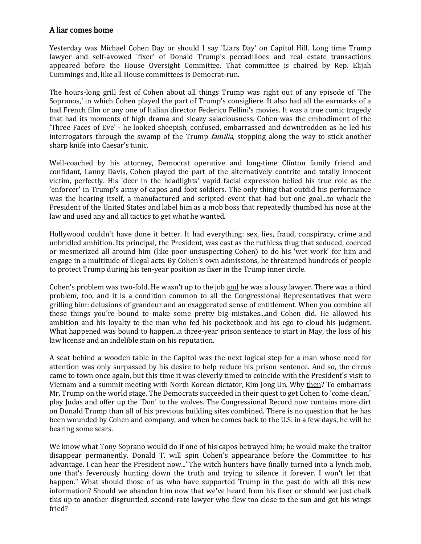## A liar comes home

Yesterday was Michael Cohen Day or should I say 'Liars Day' on Capitol Hill. Long time Trump lawyer and self-avowed 'fixer' of Donald Trump's peccadilloes and real estate transactions appeared before the House Oversight Committee. That committee is chaired by Rep. Elijah Cummings and, like all House committees is Democrat-run.

The hours-long grill fest of Cohen about all things Trump was right out of any episode of 'The Sopranos,' in which Cohen played the part of Trump's consigliere. It also had all the earmarks of a bad French film or any one of Italian director Federico Fellini's movies. It was a true comic tragedy that had its moments of high drama and sleazy salaciousness. Cohen was the embodiment of the 'Three Faces of Eve' - he looked sheepish, confused, embarrassed and downtrodden as he led his interrogators through the swamp of the Trump *familia*, stopping along the way to stick another sharp knife into Caesar's tunic.

Well-coached by his attorney, Democrat operative and long-time Clinton family friend and confidant, Lanny Davis, Cohen played the part of the alternatively contrite and totally innocent victim, perfectly. His 'deer in the headlights' vapid facial expression belied his true role as the 'enforcer' in Trump's army of capos and foot soldiers. The only thing that outdid his performance was the hearing itself, a manufactured and scripted event that had but one goal...to whack the President of the United States and label him as a mob boss that repeatedly thumbed his nose at the law and used any and all tactics to get what he wanted.

Hollywood couldn't have done it better. It had everything: sex, lies, fraud, conspiracy, crime and unbridled ambition. Its principal, the President, was cast as the ruthless thug that seduced, coerced or mesmerized all around him (like poor unsuspecting Cohen) to do his 'wet work' for him and engage in a multitude of illegal acts. By Cohen's own admissions, he threatened hundreds of people to protect Trump during his ten-year position as fixer in the Trump inner circle.

Cohen's problem was two-fold. He wasn't up to the job and he was a lousy lawyer. There was a third problem, too, and it is a condition common to all the Congressional Representatives that were grilling him: delusions of grandeur and an exaggerated sense of entitlement. When you combine all these things you're bound to make some pretty big mistakes...and Cohen did. He allowed his ambition and his loyalty to the man who fed his pocketbook and his ego to cloud his judgment. What happened was bound to happen...a three-year prison sentence to start in May, the loss of his law license and an indelible stain on his reputation.

A seat behind a wooden table in the Capitol was the next logical step for a man whose need for attention was only surpassed by his desire to help reduce his prison sentence. And so, the circus came to town once again, but this time it was cleverly timed to coincide with the President's visit to Vietnam and a summit meeting with North Korean dictator, Kim Jong Un. Why then? To embarrass Mr. Trump on the world stage. The Democrats succeeded in their quest to get Cohen to 'come clean,' play Judas and offer up the 'Don' to the wolves. The Congressional Record now contains more dirt on Donald Trump than all of his previous building sites combined. There is no question that he has been wounded by Cohen and company, and when he comes back to the U.S. in a few days, he will be bearing some scars.

We know what Tony Soprano would do if one of his capos betrayed him; he would make the traitor disappear permanently. Donald T. will spin Cohen's appearance before the Committee to his advantage. I can hear the President now..."The witch hunters have finally turned into a lynch mob, one that's feverously hunting down the truth and trying to silence it forever. I won't let that happen." What should those of us who have supported Trump in the past do with all this new information? Should we abandon him now that we've heard from his fixer or should we just chalk this up to another disgruntled, second-rate lawyer who flew too close to the sun and got his wings fried?